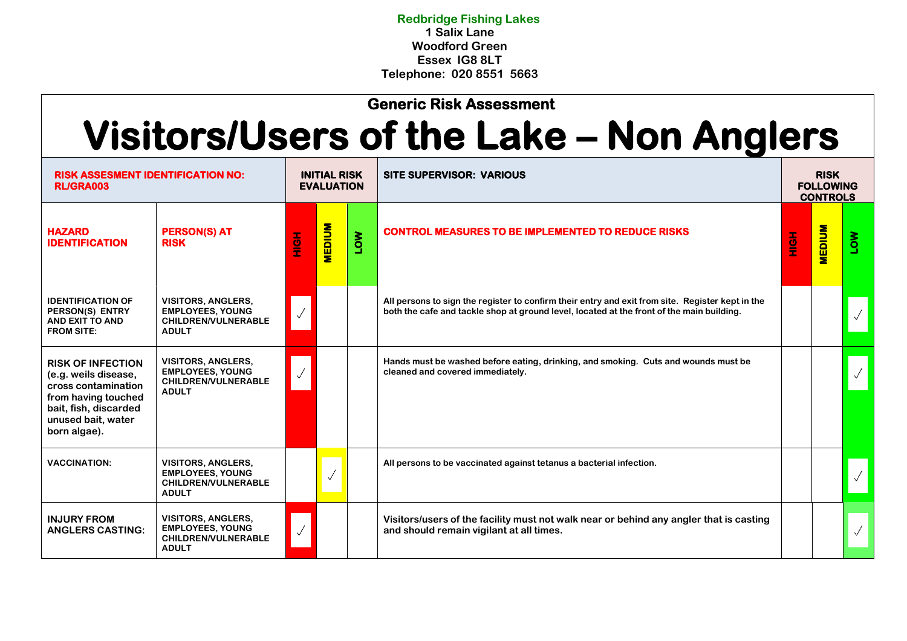**Redbridge Fishing Lakes 1 Salix Lane Woodford Green Essex IG8 8LT Telephone: 020 8551 5663**

## **Generic Risk Assessment**

## **Visitors/Users of the Lake – Non Anglers**

| <b>RISK ASSESMENT IDENTIFICATION NO:</b><br><b>RL/GRA003</b>                                                                                                  |                                                                                                    | <b>INITIAL RISK</b><br><b>EVALUATION</b> |               |            | <b>SITE SUPERVISOR: VARIOUS</b>                                                                                                                                                               |      | <b>RISK</b><br><b>FOLLOWING</b><br><b>CONTROLS</b> |            |  |
|---------------------------------------------------------------------------------------------------------------------------------------------------------------|----------------------------------------------------------------------------------------------------|------------------------------------------|---------------|------------|-----------------------------------------------------------------------------------------------------------------------------------------------------------------------------------------------|------|----------------------------------------------------|------------|--|
| <b>HAZARD</b><br><b>IDENTIFICATION</b>                                                                                                                        | <b>PERSON(S) AT</b><br><b>RISK</b>                                                                 | <b>HOME</b>                              | <b>MEDIUM</b> | <b>NOT</b> | <b>CONTROL MEASURES TO BE IMPLEMENTED TO REDUCE RISKS</b>                                                                                                                                     | HIGH | <b>MEDIUM</b>                                      | <b>NOT</b> |  |
| <b>IDENTIFICATION OF</b><br>PERSON(S) ENTRY<br><b>AND EXIT TO AND</b><br><b>FROM SITE:</b>                                                                    | <b>VISITORS, ANGLERS,</b><br><b>EMPLOYEES, YOUNG</b><br><b>CHILDREN/VULNERABLE</b><br><b>ADULT</b> |                                          |               |            | All persons to sign the register to confirm their entry and exit from site. Register kept in the<br>both the cafe and tackle shop at ground level, located at the front of the main building. |      |                                                    |            |  |
| <b>RISK OF INFECTION</b><br>(e.g. weils disease,<br>cross contamination<br>from having touched<br>bait, fish, discarded<br>unused bait, water<br>born algae). | <b>VISITORS, ANGLERS,</b><br><b>EMPLOYEES, YOUNG</b><br>CHILDREN/VULNERABLE<br><b>ADULT</b>        |                                          |               |            | Hands must be washed before eating, drinking, and smoking. Cuts and wounds must be<br>cleaned and covered immediately.                                                                        |      |                                                    |            |  |
| <b>VACCINATION:</b>                                                                                                                                           | <b>VISITORS, ANGLERS,</b><br><b>EMPLOYEES, YOUNG</b><br><b>CHILDREN/VULNERABLE</b><br><b>ADULT</b> |                                          |               |            | All persons to be vaccinated against tetanus a bacterial infection.                                                                                                                           |      |                                                    |            |  |
| <b>INJURY FROM</b><br><b>ANGLERS CASTING:</b>                                                                                                                 | <b>VISITORS, ANGLERS,</b><br><b>EMPLOYEES, YOUNG</b><br><b>CHILDREN/VULNERABLE</b><br><b>ADULT</b> |                                          |               |            | Visitors/users of the facility must not walk near or behind any angler that is casting<br>and should remain vigilant at all times.                                                            |      |                                                    |            |  |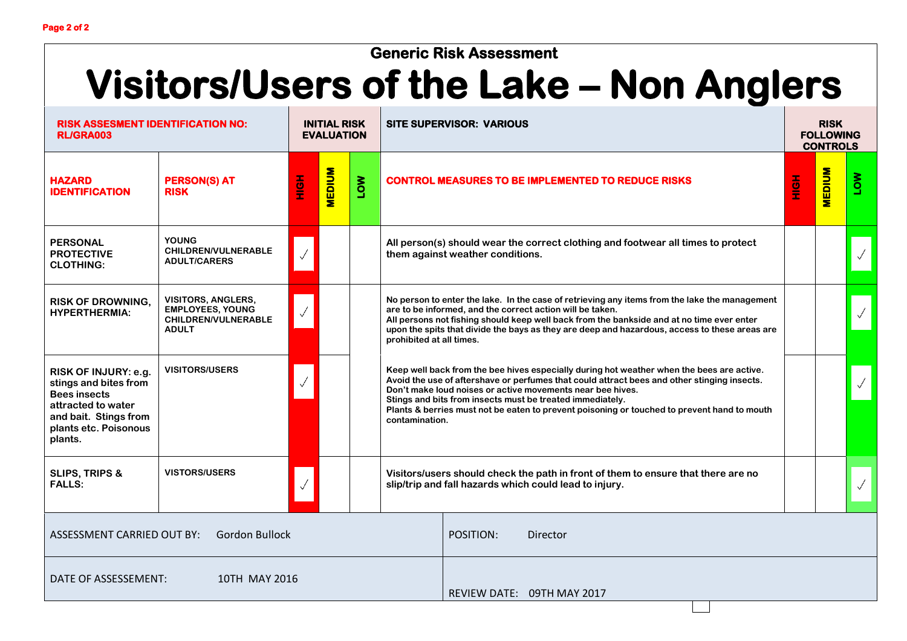## **Generic Risk Assessment**

## **Visitors/Users of the Lake – Non Anglers**

| <b>RISK ASSESMENT IDENTIFICATION NO:</b><br><b>RL/GRA003</b>                                                                                            |                                                                                             | <b>INITIAL RISK</b><br><b>EVALUATION</b> |               |            | <b>SITE SUPERVISOR: VARIOUS</b>                                                                                                                                                                                                                                                                                                                                                                                                      | <b>RISK</b><br><b>FOLLOWING</b><br><b>CONTROLS</b> |               |            |
|---------------------------------------------------------------------------------------------------------------------------------------------------------|---------------------------------------------------------------------------------------------|------------------------------------------|---------------|------------|--------------------------------------------------------------------------------------------------------------------------------------------------------------------------------------------------------------------------------------------------------------------------------------------------------------------------------------------------------------------------------------------------------------------------------------|----------------------------------------------------|---------------|------------|
| <b>HAZARD</b><br><b>IDENTIFICATION</b>                                                                                                                  | <b>PERSON(S) AT</b><br><b>RISK</b>                                                          | <b>HOH</b>                               | <b>MEDIUM</b> | <b>NOT</b> | <b>CONTROL MEASURES TO BE IMPLEMENTED TO REDUCE RISKS</b>                                                                                                                                                                                                                                                                                                                                                                            | H<br>三                                             | <b>MEDIUM</b> | <b>NOT</b> |
| <b>PERSONAL</b><br><b>PROTECTIVE</b><br><b>CLOTHING:</b>                                                                                                | <b>YOUNG</b><br><b>CHILDREN/VULNERABLE</b><br><b>ADULT/CARERS</b>                           |                                          |               |            | All person(s) should wear the correct clothing and footwear all times to protect<br>them against weather conditions.                                                                                                                                                                                                                                                                                                                 |                                                    |               |            |
| <b>RISK OF DROWNING.</b><br><b>HYPERTHERMIA:</b>                                                                                                        | <b>VISITORS, ANGLERS,</b><br><b>EMPLOYEES, YOUNG</b><br>CHILDREN/VULNERABLE<br><b>ADULT</b> |                                          |               |            | No person to enter the lake. In the case of retrieving any items from the lake the management<br>are to be informed, and the correct action will be taken.<br>All persons not fishing should keep well back from the bankside and at no time ever enter<br>upon the spits that divide the bays as they are deep and hazardous, access to these areas are<br>prohibited at all times.                                                 |                                                    |               |            |
| RISK OF INJURY: e.g.<br>stings and bites from<br><b>Bees insects</b><br>attracted to water<br>and bait. Stings from<br>plants etc. Poisonous<br>plants. | <b>VISITORS/USERS</b>                                                                       |                                          |               |            | Keep well back from the bee hives especially during hot weather when the bees are active.<br>Avoid the use of aftershave or perfumes that could attract bees and other stinging insects.<br>Don't make loud noises or active movements near bee hives.<br>Stings and bits from insects must be treated immediately.<br>Plants & berries must not be eaten to prevent poisoning or touched to prevent hand to mouth<br>contamination. |                                                    |               |            |
| <b>SLIPS, TRIPS &amp;</b><br><b>FALLS:</b>                                                                                                              | <b>VISTORS/USERS</b>                                                                        |                                          |               |            | Visitors/users should check the path in front of them to ensure that there are no<br>slip/trip and fall hazards which could lead to injury.                                                                                                                                                                                                                                                                                          |                                                    |               |            |
| ASSESSMENT CARRIED OUT BY:<br><b>Gordon Bullock</b>                                                                                                     |                                                                                             |                                          |               |            | POSITION:<br>Director                                                                                                                                                                                                                                                                                                                                                                                                                |                                                    |               |            |
| DATE OF ASSESSEMENT:<br>10TH MAY 2016                                                                                                                   |                                                                                             |                                          |               |            | REVIEW DATE: 09TH MAY 2017                                                                                                                                                                                                                                                                                                                                                                                                           |                                                    |               |            |